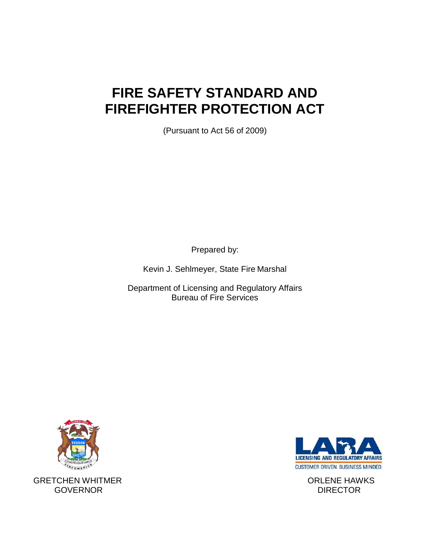# **FIRE SAFETY STANDARD AND FIREFIGHTER PROTECTION ACT**

(Pursuant to Act 56 of 2009)

Prepared by:

Kevin J. Sehlmeyer, State Fire Marshal

Department of Licensing and Regulatory Affairs Bureau of Fire Services



GRETCHEN WHITMER **EXECUTE IN THE SET ON A SET ORLENE HAWKS** GOVERNOR DIRECTOR

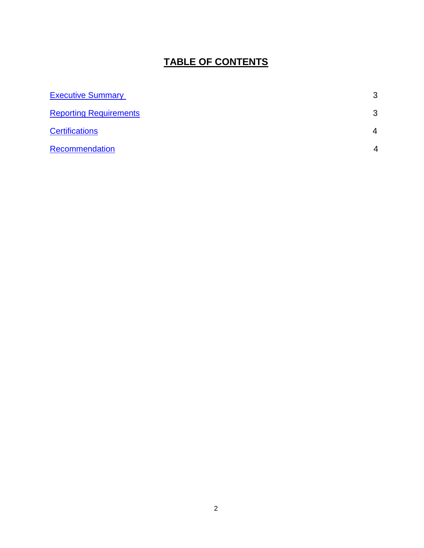# **TABLE OF CONTENTS**

| <b>Executive Summary</b>      | 3                      |
|-------------------------------|------------------------|
| <b>Reporting Requirements</b> | 3                      |
| <b>Certifications</b>         | $\overline{4}$         |
| Recommendation                | $\boldsymbol{\Lambda}$ |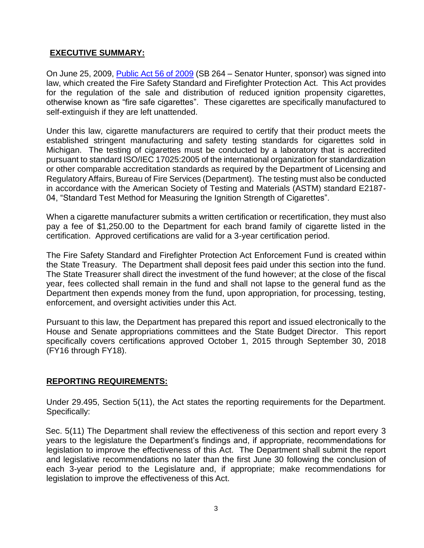## <span id="page-2-0"></span>**EXECUTIVE SUMMARY:**

On June 25, 2009, [Public Act 56 of 2009](http://www.legislature.mi.gov/(S(1dimzukwbetykzula1a4yrub))/documents/mcl/pdf/mcl-act-56-of-2009.pdf) (SB 264 – Senator Hunter, sponsor) was signed into law, which created the Fire Safety Standard and Firefighter Protection Act. This Act provides for the regulation of the sale and distribution of reduced ignition propensity cigarettes, otherwise known as "fire safe cigarettes". These cigarettes are specifically manufactured to self-extinguish if they are left unattended.

Under this law, cigarette manufacturers are required to certify that their product meets the established stringent manufacturing and safety testing standards for cigarettes sold in Michigan. The testing of cigarettes must be conducted by a laboratory that is accredited pursuant to standard ISO/IEC 17025:2005 of the international organization for standardization or other comparable accreditation standards as required by the Department of Licensing and Regulatory Affairs, Bureau of Fire Services (Department). The testing must also be conducted in accordance with the American Society of Testing and Materials (ASTM) standard E2187- 04, "Standard Test Method for Measuring the Ignition Strength of Cigarettes".

When a cigarette manufacturer submits a written certification or recertification, they must also pay a fee of \$1,250.00 to the Department for each brand family of cigarette listed in the certification. Approved certifications are valid for a 3-year certification period.

The Fire Safety Standard and Firefighter Protection Act Enforcement Fund is created within the State Treasury. The Department shall deposit fees paid under this section into the fund. The State Treasurer shall direct the investment of the fund however; at the close of the fiscal year, fees collected shall remain in the fund and shall not lapse to the general fund as the Department then expends money from the fund, upon appropriation, for processing, testing, enforcement, and oversight activities under this Act.

Pursuant to this law, the Department has prepared this report and issued electronically to the House and Senate appropriations committees and the State Budget Director. This report specifically covers certifications approved October 1, 2015 through September 30, 2018 (FY16 through FY18).

#### <span id="page-2-1"></span>**REPORTING REQUIREMENTS:**

Under 29.495, Section 5(11), the Act states the reporting requirements for the Department. Specifically:

Sec. 5(11) The Department shall review the effectiveness of this section and report every 3 years to the legislature the Department's findings and, if appropriate, recommendations for legislation to improve the effectiveness of this Act. The Department shall submit the report and legislative recommendations no later than the first June 30 following the conclusion of each 3-year period to the Legislature and, if appropriate; make recommendations for legislation to improve the effectiveness of this Act.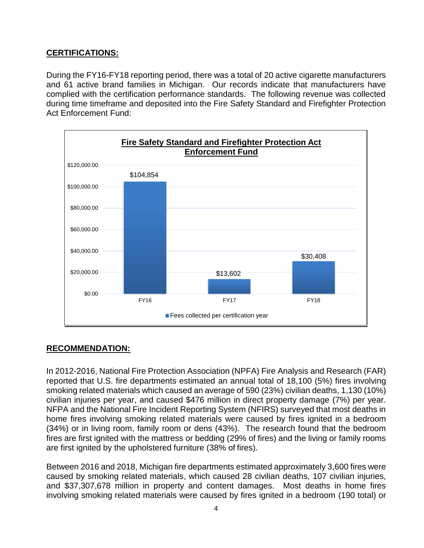# <span id="page-3-0"></span>**CERTIFICATIONS:**

During the FY16-FY18 reporting period, there was a total of 20 active cigarette manufacturers and 61 active brand families in Michigan. Our records indicate that manufacturers have complied with the certification performance standards. The following revenue was collected during time timeframe and deposited into the Fire Safety Standard and Firefighter Protection Act Enforcement Fund:



### <span id="page-3-1"></span>**RECOMMENDATION:**

In 2012-2016, National Fire Protection Association (NPFA) Fire Analysis and Research (FAR) reported that U.S. fire departments estimated an annual total of 18,100 (5%) fires involving smoking related materials which caused an average of 590 (23%) civilian deaths, 1,130 (10%) civilian injuries per year, and caused \$476 million in direct property damage (7%) per year. NFPA and the National Fire Incident Reporting System (NFIRS) surveyed that most deaths in home fires involving smoking related materials were caused by fires ignited in a bedroom (34%) or in living room, family room or dens (43%). The research found that the bedroom fires are first ignited with the mattress or bedding (29% of fires) and the living or family rooms are first ignited by the upholstered furniture (38% of fires).

Between 2016 and 2018, Michigan fire departments estimated approximately 3,600 fires were caused by smoking related materials, which caused 28 civilian deaths, 107 civilian injuries, and \$37,307,678 million in property and content damages. Most deaths in home fires involving smoking related materials were caused by fires ignited in a bedroom (190 total) or